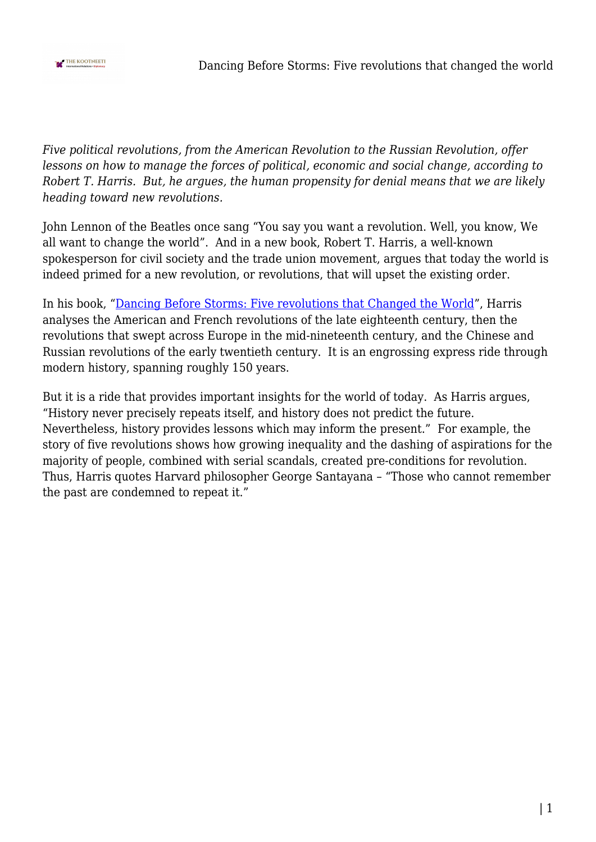

*Five political revolutions, from the American Revolution to the Russian Revolution, offer lessons on how to manage the forces of political, economic and social change, according to Robert T. Harris. But, he argues, the human propensity for denial means that we are likely heading toward new revolutions.* 

John Lennon of the Beatles once sang "You say you want a revolution. Well, you know, We all want to change the world". And in a new book, Robert T. Harris, a well-known spokesperson for civil society and the trade union movement, argues that today the world is indeed primed for a new revolution, or revolutions, that will upset the existing order.

In his book, ["Dancing Before Storms: Five revolutions that Changed the World"](https://www.wakefieldpress.com.au/product.php?productid=1782&cat=0&page=&featured=Y), Harris analyses the American and French revolutions of the late eighteenth century, then the revolutions that swept across Europe in the mid-nineteenth century, and the Chinese and Russian revolutions of the early twentieth century. It is an engrossing express ride through modern history, spanning roughly 150 years.

But it is a ride that provides important insights for the world of today. As Harris argues, "History never precisely repeats itself, and history does not predict the future. Nevertheless, history provides lessons which may inform the present." For example, the story of five revolutions shows how growing inequality and the dashing of aspirations for the majority of people, combined with serial scandals, created pre-conditions for revolution. Thus, Harris quotes Harvard philosopher George Santayana – "Those who cannot remember the past are condemned to repeat it."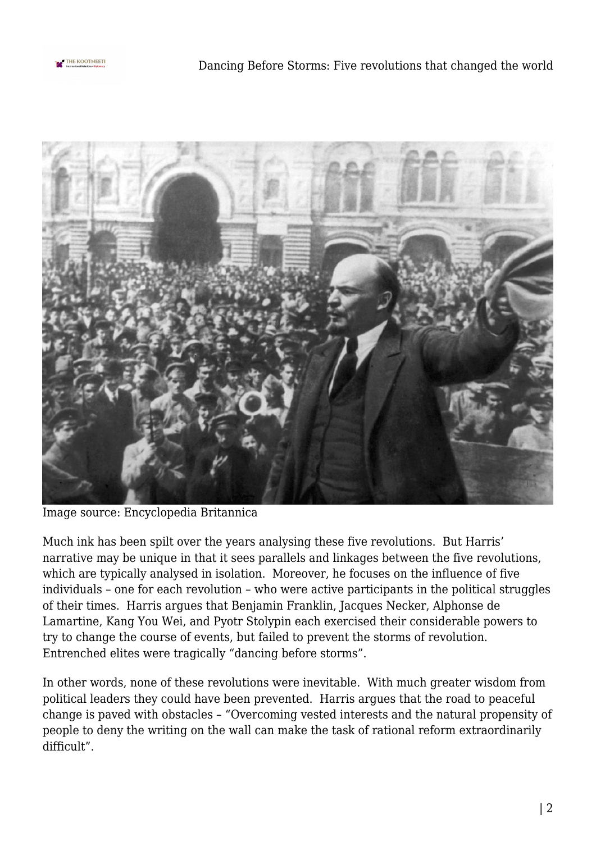



Image source: Encyclopedia Britannica

Much ink has been spilt over the years analysing these five revolutions. But Harris' narrative may be unique in that it sees parallels and linkages between the five revolutions, which are typically analysed in isolation. Moreover, he focuses on the influence of five individuals – one for each revolution – who were active participants in the political struggles of their times. Harris argues that Benjamin Franklin, Jacques Necker, Alphonse de Lamartine, Kang You Wei, and Pyotr Stolypin each exercised their considerable powers to try to change the course of events, but failed to prevent the storms of revolution. Entrenched elites were tragically "dancing before storms".

In other words, none of these revolutions were inevitable. With much greater wisdom from political leaders they could have been prevented. Harris argues that the road to peaceful change is paved with obstacles – "Overcoming vested interests and the natural propensity of people to deny the writing on the wall can make the task of rational reform extraordinarily difficult".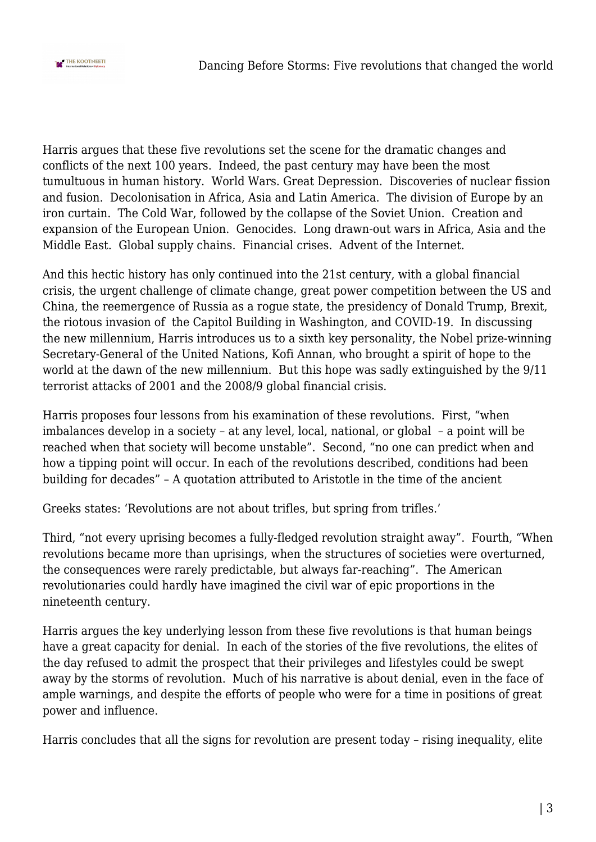

Harris argues that these five revolutions set the scene for the dramatic changes and conflicts of the next 100 years. Indeed, the past century may have been the most tumultuous in human history. World Wars. Great Depression. Discoveries of nuclear fission and fusion. Decolonisation in Africa, Asia and Latin America. The division of Europe by an iron curtain. The Cold War, followed by the collapse of the Soviet Union. Creation and expansion of the European Union. Genocides. Long drawn-out wars in Africa, Asia and the Middle East. Global supply chains. Financial crises. Advent of the Internet.

And this hectic history has only continued into the 21st century, with a global financial crisis, the urgent challenge of climate change, great power competition between the US and China, the reemergence of Russia as a rogue state, the presidency of Donald Trump, Brexit, the riotous invasion of the Capitol Building in Washington, and COVID-19. In discussing the new millennium, Harris introduces us to a sixth key personality, the Nobel prize-winning Secretary-General of the United Nations, Kofi Annan, who brought a spirit of hope to the world at the dawn of the new millennium. But this hope was sadly extinguished by the 9/11 terrorist attacks of 2001 and the 2008/9 global financial crisis.

Harris proposes four lessons from his examination of these revolutions. First, "when imbalances develop in a society – at any level, local, national, or global – a point will be reached when that society will become unstable". Second, "no one can predict when and how a tipping point will occur. In each of the revolutions described, conditions had been building for decades" – A quotation attributed to Aristotle in the time of the ancient

Greeks states: 'Revolutions are not about trifles, but spring from trifles.'

Third, "not every uprising becomes a fully-fledged revolution straight away". Fourth, "When revolutions became more than uprisings, when the structures of societies were overturned, the consequences were rarely predictable, but always far-reaching". The American revolutionaries could hardly have imagined the civil war of epic proportions in the nineteenth century.

Harris argues the key underlying lesson from these five revolutions is that human beings have a great capacity for denial. In each of the stories of the five revolutions, the elites of the day refused to admit the prospect that their privileges and lifestyles could be swept away by the storms of revolution. Much of his narrative is about denial, even in the face of ample warnings, and despite the efforts of people who were for a time in positions of great power and influence.

Harris concludes that all the signs for revolution are present today - rising inequality, elite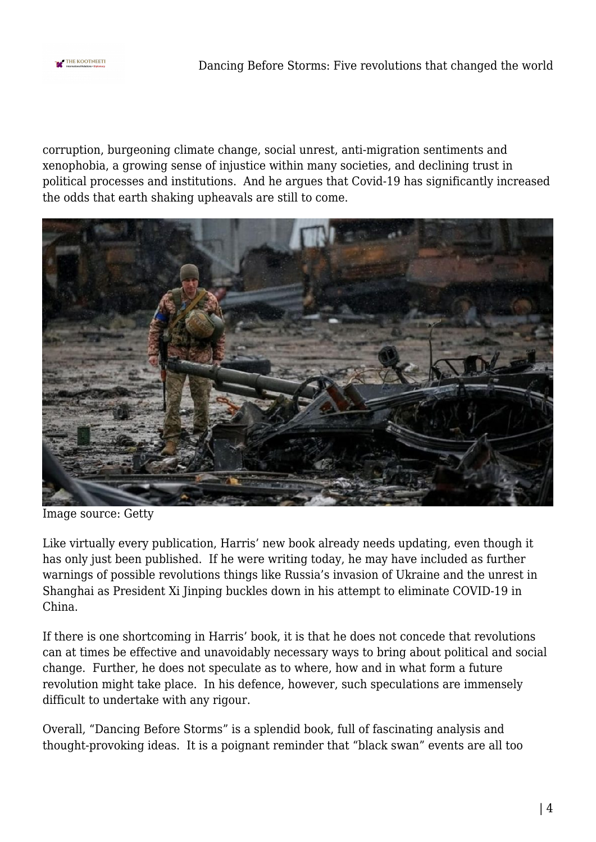

corruption, burgeoning climate change, social unrest, anti-migration sentiments and xenophobia, a growing sense of injustice within many societies, and declining trust in political processes and institutions. And he argues that Covid-19 has significantly increased the odds that earth shaking upheavals are still to come.



Image source: Getty

Like virtually every publication, Harris' new book already needs updating, even though it has only just been published. If he were writing today, he may have included as further warnings of possible revolutions things like Russia's invasion of Ukraine and the unrest in Shanghai as President Xi Jinping buckles down in his attempt to eliminate COVID-19 in China.

If there is one shortcoming in Harris' book, it is that he does not concede that revolutions can at times be effective and unavoidably necessary ways to bring about political and social change. Further, he does not speculate as to where, how and in what form a future revolution might take place. In his defence, however, such speculations are immensely difficult to undertake with any rigour.

Overall, "Dancing Before Storms" is a splendid book, full of fascinating analysis and thought-provoking ideas. It is a poignant reminder that "black swan" events are all too